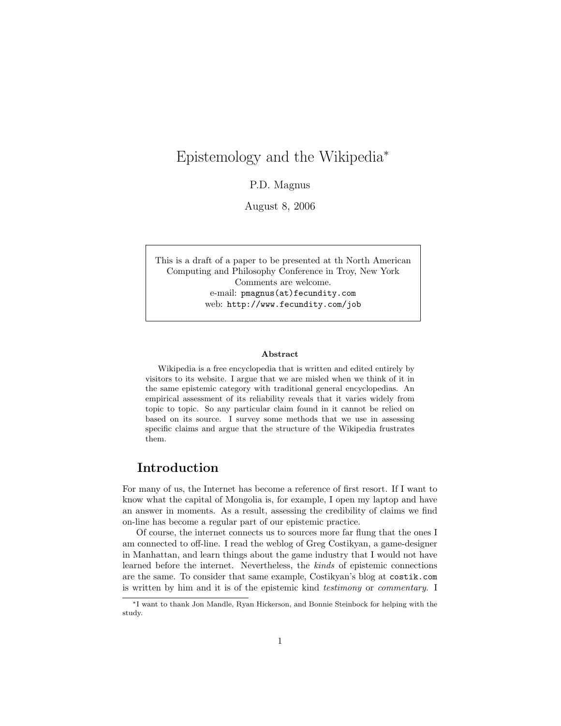# Epistemology and the Wikipedia<sup>∗</sup>

P.D. Magnus

August 8, 2006

This is a draft of a paper to be presented at th North American Computing and Philosophy Conference in Troy, New York Comments are welcome. e-mail: pmagnus(at)fecundity.com web: http://www.fecundity.com/job

#### Abstract

Wikipedia is a free encyclopedia that is written and edited entirely by visitors to its website. I argue that we are misled when we think of it in the same epistemic category with traditional general encyclopedias. An empirical assessment of its reliability reveals that it varies widely from topic to topic. So any particular claim found in it cannot be relied on based on its source. I survey some methods that we use in assessing specific claims and argue that the structure of the Wikipedia frustrates them.

## Introduction

For many of us, the Internet has become a reference of first resort. If I want to know what the capital of Mongolia is, for example, I open my laptop and have an answer in moments. As a result, assessing the credibility of claims we find on-line has become a regular part of our epistemic practice.

Of course, the internet connects us to sources more far flung that the ones I am connected to off-line. I read the weblog of Greg Costikyan, a game-designer in Manhattan, and learn things about the game industry that I would not have learned before the internet. Nevertheless, the kinds of epistemic connections are the same. To consider that same example, Costikyan's blog at costik.com is written by him and it is of the epistemic kind testimony or commentary. I

<sup>∗</sup>I want to thank Jon Mandle, Ryan Hickerson, and Bonnie Steinbock for helping with the study.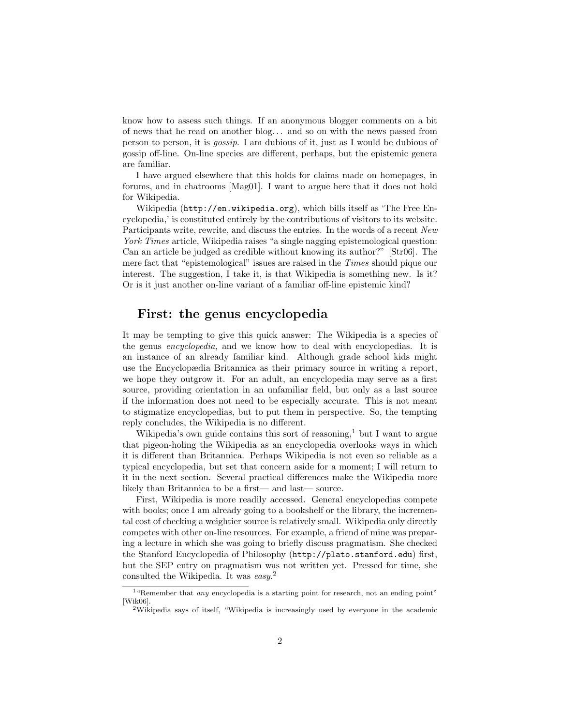know how to assess such things. If an anonymous blogger comments on a bit of news that he read on another blog. . . and so on with the news passed from person to person, it is gossip. I am dubious of it, just as I would be dubious of gossip off-line. On-line species are different, perhaps, but the epistemic genera are familiar.

I have argued elsewhere that this holds for claims made on homepages, in forums, and in chatrooms [Mag01]. I want to argue here that it does not hold for Wikipedia.

Wikipedia (http://en.wikipedia.org), which bills itself as 'The Free Encyclopedia,' is constituted entirely by the contributions of visitors to its website. Participants write, rewrite, and discuss the entries. In the words of a recent New York Times article, Wikipedia raises "a single nagging epistemological question: Can an article be judged as credible without knowing its author?" [Str06]. The mere fact that "epistemological" issues are raised in the Times should pique our interest. The suggestion, I take it, is that Wikipedia is something new. Is it? Or is it just another on-line variant of a familiar off-line epistemic kind?

#### First: the genus encyclopedia

It may be tempting to give this quick answer: The Wikipedia is a species of the genus encyclopedia, and we know how to deal with encyclopedias. It is an instance of an already familiar kind. Although grade school kids might use the Encyclopædia Britannica as their primary source in writing a report, we hope they outgrow it. For an adult, an encyclopedia may serve as a first source, providing orientation in an unfamiliar field, but only as a last source if the information does not need to be especially accurate. This is not meant to stigmatize encyclopedias, but to put them in perspective. So, the tempting reply concludes, the Wikipedia is no different.

Wikipedia's own guide contains this sort of reasoning,<sup>1</sup> but I want to argue that pigeon-holing the Wikipedia as an encyclopedia overlooks ways in which it is different than Britannica. Perhaps Wikipedia is not even so reliable as a typical encyclopedia, but set that concern aside for a moment; I will return to it in the next section. Several practical differences make the Wikipedia more likely than Britannica to be a first— and last— source.

First, Wikipedia is more readily accessed. General encyclopedias compete with books; once I am already going to a bookshelf or the library, the incremental cost of checking a weightier source is relatively small. Wikipedia only directly competes with other on-line resources. For example, a friend of mine was preparing a lecture in which she was going to briefly discuss pragmatism. She checked the Stanford Encyclopedia of Philosophy (http://plato.stanford.edu) first, but the SEP entry on pragmatism was not written yet. Pressed for time, she consulted the Wikipedia. It was easy.<sup>2</sup>

<sup>&</sup>lt;sup>1</sup> "Remember that *any* encyclopedia is a starting point for research, not an ending point" [Wik06]

<sup>2</sup>Wikipedia says of itself, "Wikipedia is increasingly used by everyone in the academic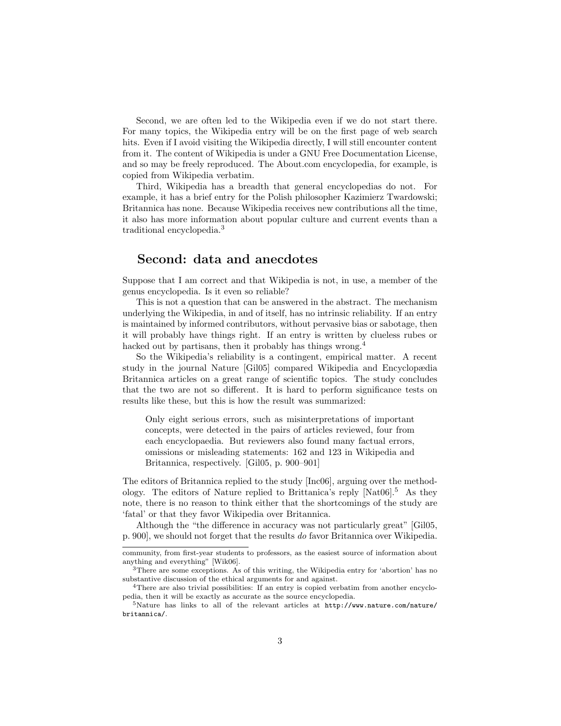Second, we are often led to the Wikipedia even if we do not start there. For many topics, the Wikipedia entry will be on the first page of web search hits. Even if I avoid visiting the Wikipedia directly, I will still encounter content from it. The content of Wikipedia is under a GNU Free Documentation License, and so may be freely reproduced. The About.com encyclopedia, for example, is copied from Wikipedia verbatim.

Third, Wikipedia has a breadth that general encyclopedias do not. For example, it has a brief entry for the Polish philosopher Kazimierz Twardowski; Britannica has none. Because Wikipedia receives new contributions all the time, it also has more information about popular culture and current events than a traditional encyclopedia.<sup>3</sup>

### Second: data and anecdotes

Suppose that I am correct and that Wikipedia is not, in use, a member of the genus encyclopedia. Is it even so reliable?

This is not a question that can be answered in the abstract. The mechanism underlying the Wikipedia, in and of itself, has no intrinsic reliability. If an entry is maintained by informed contributors, without pervasive bias or sabotage, then it will probably have things right. If an entry is written by clueless rubes or hacked out by partisans, then it probably has things wrong.<sup>4</sup>

So the Wikipedia's reliability is a contingent, empirical matter. A recent study in the journal Nature [Gil05] compared Wikipedia and Encyclopædia Britannica articles on a great range of scientific topics. The study concludes that the two are not so different. It is hard to perform significance tests on results like these, but this is how the result was summarized:

Only eight serious errors, such as misinterpretations of important concepts, were detected in the pairs of articles reviewed, four from each encyclopaedia. But reviewers also found many factual errors, omissions or misleading statements: 162 and 123 in Wikipedia and Britannica, respectively. [Gil05, p. 900–901]

The editors of Britannica replied to the study [Inc06], arguing over the methodology. The editors of Nature replied to Brittanica's reply [Nat06].<sup>5</sup> As they note, there is no reason to think either that the shortcomings of the study are 'fatal' or that they favor Wikipedia over Britannica.

Although the "the difference in accuracy was not particularly great" [Gil05, p. 900], we should not forget that the results do favor Britannica over Wikipedia.

community, from first-year students to professors, as the easiest source of information about anything and everything" [Wik06].

<sup>&</sup>lt;sup>3</sup>There are some exceptions. As of this writing, the Wikipedia entry for 'abortion' has no substantive discussion of the ethical arguments for and against.

<sup>4</sup>There are also trivial possibilities: If an entry is copied verbatim from another encyclopedia, then it will be exactly as accurate as the source encyclopedia.

 $5$ Nature has links to all of the relevant articles at http://www.nature.com/nature/ britannica/.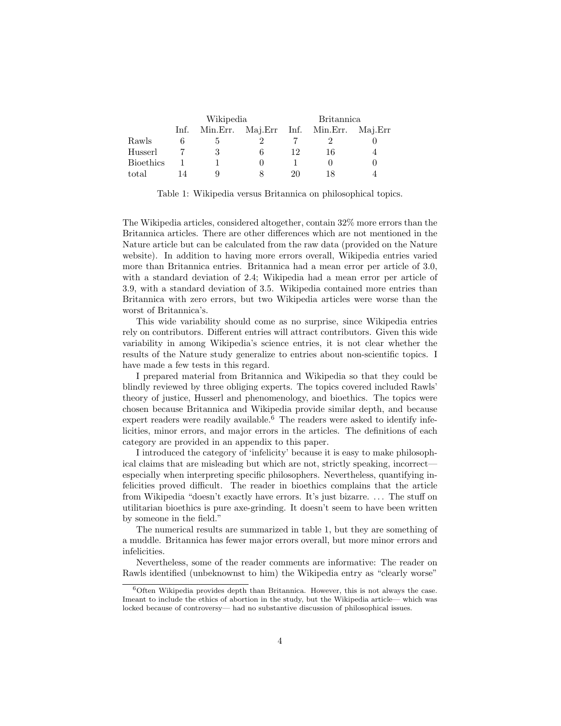|                  | Wikipedia |   |  | <b>Britannica</b> |                                        |  |
|------------------|-----------|---|--|-------------------|----------------------------------------|--|
|                  | Inf.      |   |  |                   | Min.Err. Maj.Err Inf. Min.Err. Maj.Err |  |
| Rawls            |           |   |  |                   |                                        |  |
| Husserl          |           | 3 |  | 19                | 16                                     |  |
| <b>Bioethics</b> |           |   |  |                   |                                        |  |
| total            |           |   |  | 20                |                                        |  |

Table 1: Wikipedia versus Britannica on philosophical topics.

The Wikipedia articles, considered altogether, contain 32% more errors than the Britannica articles. There are other differences which are not mentioned in the Nature article but can be calculated from the raw data (provided on the Nature website). In addition to having more errors overall, Wikipedia entries varied more than Britannica entries. Britannica had a mean error per article of 3.0, with a standard deviation of 2.4; Wikipedia had a mean error per article of 3.9, with a standard deviation of 3.5. Wikipedia contained more entries than Britannica with zero errors, but two Wikipedia articles were worse than the worst of Britannica's.

This wide variability should come as no surprise, since Wikipedia entries rely on contributors. Different entries will attract contributors. Given this wide variability in among Wikipedia's science entries, it is not clear whether the results of the Nature study generalize to entries about non-scientific topics. I have made a few tests in this regard.

I prepared material from Britannica and Wikipedia so that they could be blindly reviewed by three obliging experts. The topics covered included Rawls' theory of justice, Husserl and phenomenology, and bioethics. The topics were chosen because Britannica and Wikipedia provide similar depth, and because expert readers were readily available.<sup>6</sup> The readers were asked to identify infelicities, minor errors, and major errors in the articles. The definitions of each category are provided in an appendix to this paper.

I introduced the category of 'infelicity' because it is easy to make philosophical claims that are misleading but which are not, strictly speaking, incorrect especially when interpreting specific philosophers. Nevertheless, quantifying infelicities proved difficult. The reader in bioethics complains that the article from Wikipedia "doesn't exactly have errors. It's just bizarre. . . . The stuff on utilitarian bioethics is pure axe-grinding. It doesn't seem to have been written by someone in the field."

The numerical results are summarized in table 1, but they are something of a muddle. Britannica has fewer major errors overall, but more minor errors and infelicities.

Nevertheless, some of the reader comments are informative: The reader on Rawls identified (unbeknownst to him) the Wikipedia entry as "clearly worse"

 $6$ Often Wikipedia provides depth than Britannica. However, this is not always the case. Imeant to include the ethics of abortion in the study, but the Wikipedia article— which was locked because of controversy— had no substantive discussion of philosophical issues.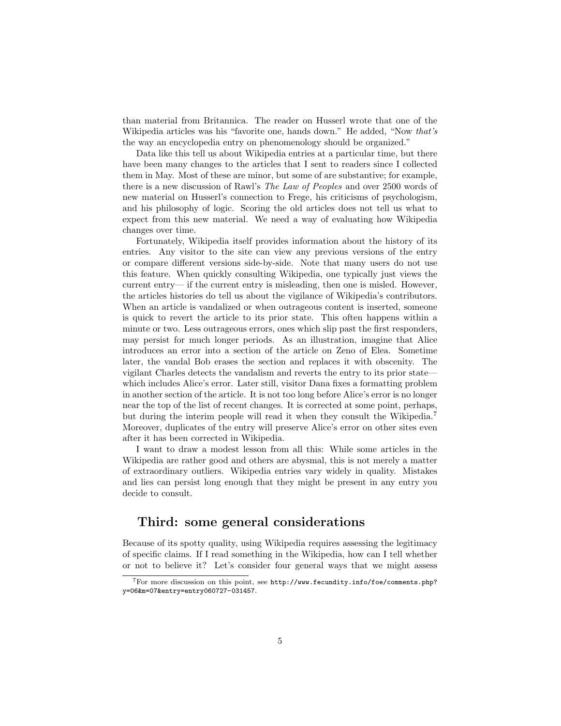than material from Britannica. The reader on Husserl wrote that one of the Wikipedia articles was his "favorite one, hands down." He added, "Now that's the way an encyclopedia entry on phenomenology should be organized."

Data like this tell us about Wikipedia entries at a particular time, but there have been many changes to the articles that I sent to readers since I collected them in May. Most of these are minor, but some of are substantive; for example, there is a new discussion of Rawl's The Law of Peoples and over 2500 words of new material on Husserl's connection to Frege, his criticisms of psychologism, and his philosophy of logic. Scoring the old articles does not tell us what to expect from this new material. We need a way of evaluating how Wikipedia changes over time.

Fortunately, Wikipedia itself provides information about the history of its entries. Any visitor to the site can view any previous versions of the entry or compare different versions side-by-side. Note that many users do not use this feature. When quickly consulting Wikipedia, one typically just views the current entry— if the current entry is misleading, then one is misled. However, the articles histories do tell us about the vigilance of Wikipedia's contributors. When an article is vandalized or when outrageous content is inserted, someone is quick to revert the article to its prior state. This often happens within a minute or two. Less outrageous errors, ones which slip past the first responders, may persist for much longer periods. As an illustration, imagine that Alice introduces an error into a section of the article on Zeno of Elea. Sometime later, the vandal Bob erases the section and replaces it with obscenity. The vigilant Charles detects the vandalism and reverts the entry to its prior state which includes Alice's error. Later still, visitor Dana fixes a formatting problem in another section of the article. It is not too long before Alice's error is no longer near the top of the list of recent changes. It is corrected at some point, perhaps, but during the interim people will read it when they consult the Wikipedia.<sup>7</sup> Moreover, duplicates of the entry will preserve Alice's error on other sites even after it has been corrected in Wikipedia.

I want to draw a modest lesson from all this: While some articles in the Wikipedia are rather good and others are abysmal, this is not merely a matter of extraordinary outliers. Wikipedia entries vary widely in quality. Mistakes and lies can persist long enough that they might be present in any entry you decide to consult.

### Third: some general considerations

Because of its spotty quality, using Wikipedia requires assessing the legitimacy of specific claims. If I read something in the Wikipedia, how can I tell whether or not to believe it? Let's consider four general ways that we might assess

 $7$  For more discussion on this point, see http://www.fecundity.info/foe/comments.php? y=06&m=07&entry=entry060727-031457.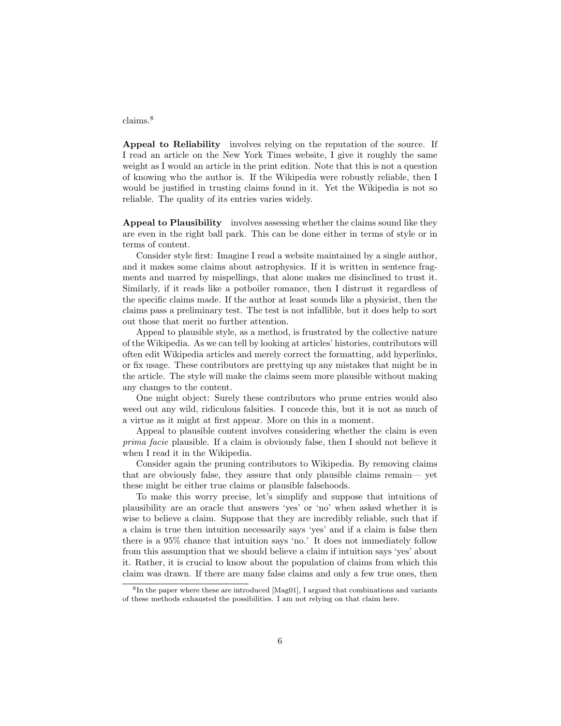#### claims.<sup>8</sup>

Appeal to Reliability involves relying on the reputation of the source. If I read an article on the New York Times website, I give it roughly the same weight as I would an article in the print edition. Note that this is not a question of knowing who the author is. If the Wikipedia were robustly reliable, then I would be justified in trusting claims found in it. Yet the Wikipedia is not so reliable. The quality of its entries varies widely.

Appeal to Plausibility involves assessing whether the claims sound like they are even in the right ball park. This can be done either in terms of style or in terms of content.

Consider style first: Imagine I read a website maintained by a single author, and it makes some claims about astrophysics. If it is written in sentence fragments and marred by mispellings, that alone makes me disinclined to trust it. Similarly, if it reads like a potboiler romance, then I distrust it regardless of the specific claims made. If the author at least sounds like a physicist, then the claims pass a preliminary test. The test is not infallible, but it does help to sort out those that merit no further attention.

Appeal to plausible style, as a method, is frustrated by the collective nature of the Wikipedia. As we can tell by looking at articles' histories, contributors will often edit Wikipedia articles and merely correct the formatting, add hyperlinks, or fix usage. These contributors are prettying up any mistakes that might be in the article. The style will make the claims seem more plausible without making any changes to the content.

One might object: Surely these contributors who prune entries would also weed out any wild, ridiculous falsities. I concede this, but it is not as much of a virtue as it might at first appear. More on this in a moment.

Appeal to plausible content involves considering whether the claim is even prima facie plausible. If a claim is obviously false, then I should not believe it when I read it in the Wikipedia.

Consider again the pruning contributors to Wikipedia. By removing claims that are obviously false, they assure that only plausible claims remain— yet these might be either true claims or plausible falsehoods.

To make this worry precise, let's simplify and suppose that intuitions of plausibility are an oracle that answers 'yes' or 'no' when asked whether it is wise to believe a claim. Suppose that they are incredibly reliable, such that if a claim is true then intuition necessarily says 'yes' and if a claim is false then there is a 95% chance that intuition says 'no.' It does not immediately follow from this assumption that we should believe a claim if intuition says 'yes' about it. Rather, it is crucial to know about the population of claims from which this claim was drawn. If there are many false claims and only a few true ones, then

<sup>&</sup>lt;sup>8</sup>In the paper where these are introduced [Mag01], I argued that combinations and variants of these methods exhausted the possibilities. I am not relying on that claim here.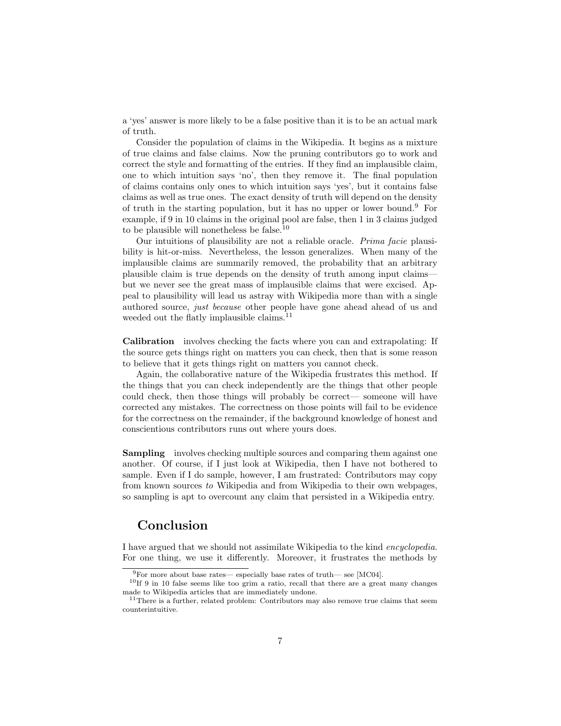a 'yes' answer is more likely to be a false positive than it is to be an actual mark of truth.

Consider the population of claims in the Wikipedia. It begins as a mixture of true claims and false claims. Now the pruning contributors go to work and correct the style and formatting of the entries. If they find an implausible claim, one to which intuition says 'no', then they remove it. The final population of claims contains only ones to which intuition says 'yes', but it contains false claims as well as true ones. The exact density of truth will depend on the density of truth in the starting population, but it has no upper or lower bound.<sup>9</sup> For example, if 9 in 10 claims in the original pool are false, then 1 in 3 claims judged to be plausible will nonetheless be false.<sup>10</sup>

Our intuitions of plausibility are not a reliable oracle. Prima facie plausibility is hit-or-miss. Nevertheless, the lesson generalizes. When many of the implausible claims are summarily removed, the probability that an arbitrary plausible claim is true depends on the density of truth among input claims but we never see the great mass of implausible claims that were excised. Appeal to plausibility will lead us astray with Wikipedia more than with a single authored source, just because other people have gone ahead ahead of us and weeded out the flatly implausible claims.<sup>11</sup>

Calibration involves checking the facts where you can and extrapolating: If the source gets things right on matters you can check, then that is some reason to believe that it gets things right on matters you cannot check.

Again, the collaborative nature of the Wikipedia frustrates this method. If the things that you can check independently are the things that other people could check, then those things will probably be correct— someone will have corrected any mistakes. The correctness on those points will fail to be evidence for the correctness on the remainder, if the background knowledge of honest and conscientious contributors runs out where yours does.

Sampling involves checking multiple sources and comparing them against one another. Of course, if I just look at Wikipedia, then I have not bothered to sample. Even if I do sample, however, I am frustrated: Contributors may copy from known sources to Wikipedia and from Wikipedia to their own webpages, so sampling is apt to overcount any claim that persisted in a Wikipedia entry.

### Conclusion

I have argued that we should not assimilate Wikipedia to the kind encyclopedia. For one thing, we use it differently. Moreover, it frustrates the methods by

 $9^9$ For more about base rates— especially base rates of truth— see [MC04].

<sup>10</sup>If 9 in 10 false seems like too grim a ratio, recall that there are a great many changes made to Wikipedia articles that are immediately undone.

 $11$ There is a further, related problem: Contributors may also remove true claims that seem counterintuitive.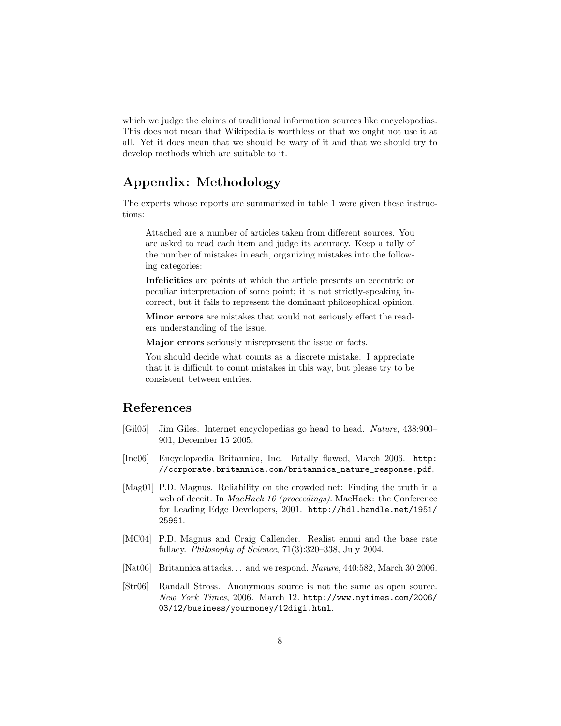which we judge the claims of traditional information sources like encyclopedias. This does not mean that Wikipedia is worthless or that we ought not use it at all. Yet it does mean that we should be wary of it and that we should try to develop methods which are suitable to it.

# Appendix: Methodology

The experts whose reports are summarized in table 1 were given these instructions:

Attached are a number of articles taken from different sources. You are asked to read each item and judge its accuracy. Keep a tally of the number of mistakes in each, organizing mistakes into the following categories:

Infelicities are points at which the article presents an eccentric or peculiar interpretation of some point; it is not strictly-speaking incorrect, but it fails to represent the dominant philosophical opinion.

Minor errors are mistakes that would not seriously effect the readers understanding of the issue.

Major errors seriously misrepresent the issue or facts.

You should decide what counts as a discrete mistake. I appreciate that it is difficult to count mistakes in this way, but please try to be consistent between entries.

# References

- [Gil05] Jim Giles. Internet encyclopedias go head to head. Nature, 438:900– 901, December 15 2005.
- [Inc06] Encyclopædia Britannica, Inc. Fatally flawed, March 2006. http: //corporate.britannica.com/britannica\_nature\_response.pdf.
- [Mag01] P.D. Magnus. Reliability on the crowded net: Finding the truth in a web of deceit. In *MacHack 16 (proceedings)*. MacHack: the Conference for Leading Edge Developers, 2001. http://hdl.handle.net/1951/ 25991.
- [MC04] P.D. Magnus and Craig Callender. Realist ennui and the base rate fallacy. Philosophy of Science, 71(3):320–338, July 2004.
- [Nat06] Britannica attacks. . . and we respond. Nature, 440:582, March 30 2006.
- [Str06] Randall Stross. Anonymous source is not the same as open source. New York Times, 2006. March 12. http://www.nytimes.com/2006/ 03/12/business/yourmoney/12digi.html.